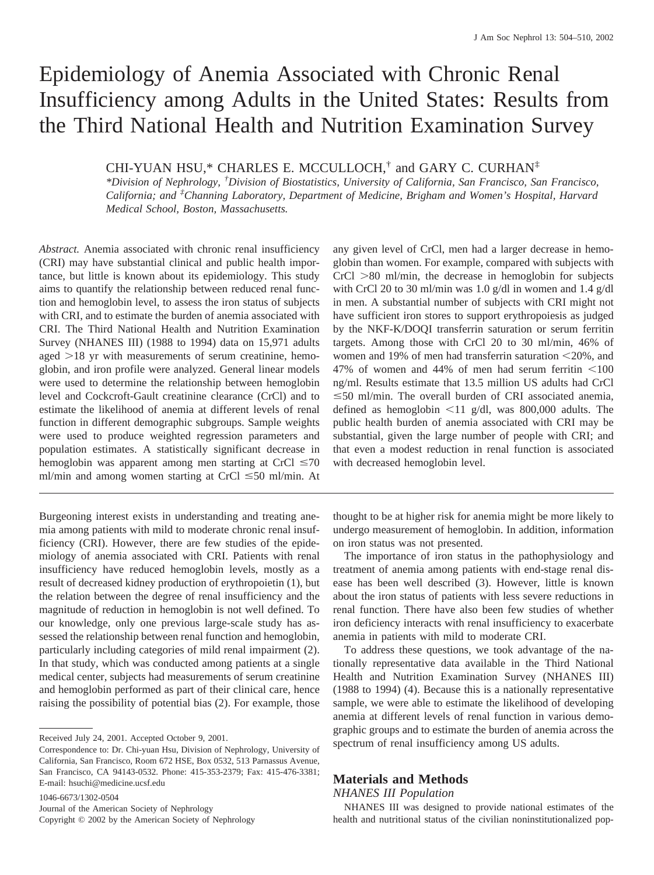# Epidemiology of Anemia Associated with Chronic Renal Insufficiency among Adults in the United States: Results from the Third National Health and Nutrition Examination Survey

CHI-YUAN HSU,\* CHARLES E. MCCULLOCH,† and GARY C. CURHAN‡

*\*Division of Nephrology, † Division of Biostatistics, University of California, San Francisco, San Francisco, California; and ‡ Channing Laboratory, Department of Medicine, Brigham and Women's Hospital, Harvard Medical School, Boston, Massachusetts.*

*Abstract.* Anemia associated with chronic renal insufficiency (CRI) may have substantial clinical and public health importance, but little is known about its epidemiology. This study aims to quantify the relationship between reduced renal function and hemoglobin level, to assess the iron status of subjects with CRI, and to estimate the burden of anemia associated with CRI. The Third National Health and Nutrition Examination Survey (NHANES III) (1988 to 1994) data on 15,971 adults aged  $>18$  yr with measurements of serum creatinine, hemoglobin, and iron profile were analyzed. General linear models were used to determine the relationship between hemoglobin level and Cockcroft-Gault creatinine clearance (CrCl) and to estimate the likelihood of anemia at different levels of renal function in different demographic subgroups. Sample weights were used to produce weighted regression parameters and population estimates. A statistically significant decrease in hemoglobin was apparent among men starting at CrCl  $\leq 70$ ml/min and among women starting at CrCl  $\leq 50$  ml/min. At

Burgeoning interest exists in understanding and treating anemia among patients with mild to moderate chronic renal insufficiency (CRI). However, there are few studies of the epidemiology of anemia associated with CRI. Patients with renal insufficiency have reduced hemoglobin levels, mostly as a result of decreased kidney production of erythropoietin (1), but the relation between the degree of renal insufficiency and the magnitude of reduction in hemoglobin is not well defined. To our knowledge, only one previous large-scale study has assessed the relationship between renal function and hemoglobin, particularly including categories of mild renal impairment (2). In that study, which was conducted among patients at a single medical center, subjects had measurements of serum creatinine and hemoglobin performed as part of their clinical care, hence raising the possibility of potential bias (2). For example, those

Received July 24, 2001. Accepted October 9, 2001.

1046-6673/1302-0504 Journal of the American Society of Nephrology Copyright © 2002 by the American Society of Nephrology any given level of CrCl, men had a larger decrease in hemoglobin than women. For example, compared with subjects with  $CrCl > 80$  ml/min, the decrease in hemoglobin for subjects with CrCl 20 to 30 ml/min was 1.0 g/dl in women and 1.4 g/dl in men. A substantial number of subjects with CRI might not have sufficient iron stores to support erythropoiesis as judged by the NKF-K/DOQI transferrin saturation or serum ferritin targets. Among those with CrCl 20 to 30 ml/min, 46% of women and 19% of men had transferrin saturation  $\leq$ 20%, and 47% of women and 44% of men had serum ferritin  $\leq 100$ ng/ml. Results estimate that 13.5 million US adults had CrCl  $\leq$ 50 ml/min. The overall burden of CRI associated anemia, defined as hemoglobin  $\leq 11$  g/dl, was 800,000 adults. The public health burden of anemia associated with CRI may be substantial, given the large number of people with CRI; and that even a modest reduction in renal function is associated with decreased hemoglobin level.

thought to be at higher risk for anemia might be more likely to undergo measurement of hemoglobin. In addition, information on iron status was not presented.

The importance of iron status in the pathophysiology and treatment of anemia among patients with end-stage renal disease has been well described (3). However, little is known about the iron status of patients with less severe reductions in renal function. There have also been few studies of whether iron deficiency interacts with renal insufficiency to exacerbate anemia in patients with mild to moderate CRI.

To address these questions, we took advantage of the nationally representative data available in the Third National Health and Nutrition Examination Survey (NHANES III) (1988 to 1994) (4). Because this is a nationally representative sample, we were able to estimate the likelihood of developing anemia at different levels of renal function in various demographic groups and to estimate the burden of anemia across the spectrum of renal insufficiency among US adults.

## **Materials and Methods**

## *NHANES III Population*

NHANES III was designed to provide national estimates of the health and nutritional status of the civilian noninstitutionalized pop-

Correspondence to: Dr. Chi-yuan Hsu, Division of Nephrology, University of California, San Francisco, Room 672 HSE, Box 0532, 513 Parnassus Avenue, San Francisco, CA 94143-0532. Phone: 415-353-2379; Fax: 415-476-3381; E-mail: hsuchi@medicine.ucsf.edu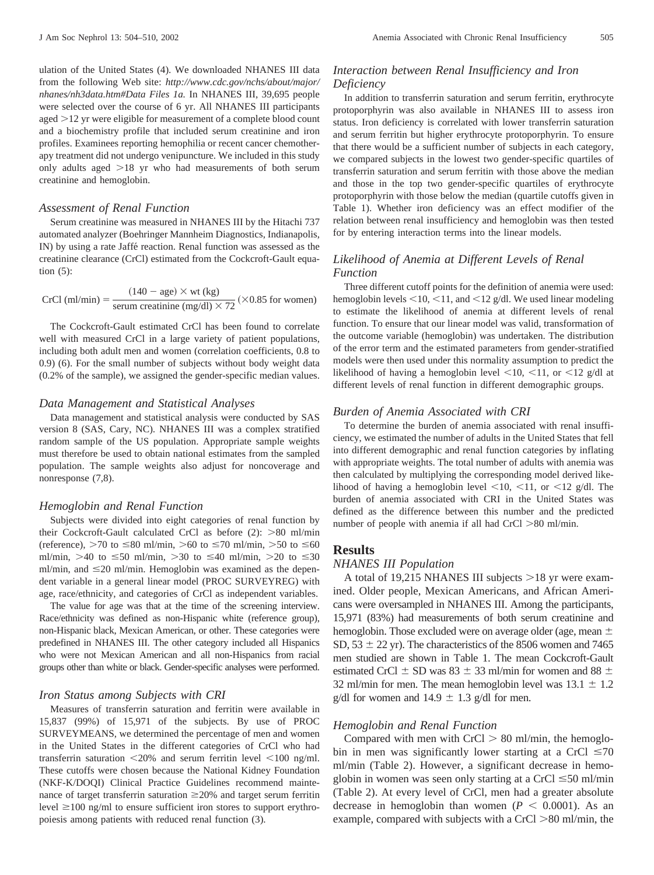ulation of the United States (4). We downloaded NHANES III data from the following Web site: *http://www.cdc.gov/nchs/about/major/ nhanes/nh3data.htm#Data Files 1a.* In NHANES III, 39,695 people were selected over the course of 6 yr. All NHANES III participants aged  $>12$  yr were eligible for measurement of a complete blood count and a biochemistry profile that included serum creatinine and iron profiles. Examinees reporting hemophilia or recent cancer chemotherapy treatment did not undergo venipuncture. We included in this study only adults aged  $>18$  yr who had measurements of both serum creatinine and hemoglobin.

#### *Assessment of Renal Function*

Serum creatinine was measured in NHANES III by the Hitachi 737 automated analyzer (Boehringer Mannheim Diagnostics, Indianapolis, IN) by using a rate Jaffé reaction. Renal function was assessed as the creatinine clearance (CrCl) estimated from the Cockcroft-Gault equation (5):

$$
CrCl (ml/min) = \frac{(140 - age) \times wt (kg)}{serum creationine (mg/dl) \times 72} (\times 0.85 \text{ for women})
$$

The Cockcroft-Gault estimated CrCl has been found to correlate well with measured CrCl in a large variety of patient populations, including both adult men and women (correlation coefficients, 0.8 to 0.9) (6). For the small number of subjects without body weight data (0.2% of the sample), we assigned the gender-specific median values.

#### *Data Management and Statistical Analyses*

Data management and statistical analysis were conducted by SAS version 8 (SAS, Cary, NC). NHANES III was a complex stratified random sample of the US population. Appropriate sample weights must therefore be used to obtain national estimates from the sampled population. The sample weights also adjust for noncoverage and nonresponse (7,8).

#### *Hemoglobin and Renal Function*

Subjects were divided into eight categories of renal function by their Cockcroft-Gault calculated CrCl as before  $(2)$ :  $> 80$  ml/min (reference),  $>70$  to  $\leq 80$  ml/min,  $>60$  to  $\leq 70$  ml/min,  $>50$  to  $\leq 60$ ml/min, >40 to  $\leq 50$  ml/min, >30 to  $\leq 40$  ml/min, >20 to  $\leq 30$ ml/min, and  $\leq$ 20 ml/min. Hemoglobin was examined as the dependent variable in a general linear model (PROC SURVEYREG) with age, race/ethnicity, and categories of CrCl as independent variables.

The value for age was that at the time of the screening interview. Race/ethnicity was defined as non-Hispanic white (reference group), non-Hispanic black, Mexican American, or other. These categories were predefined in NHANES III. The other category included all Hispanics who were not Mexican American and all non-Hispanics from racial groups other than white or black. Gender-specific analyses were performed.

## *Iron Status among Subjects with CRI*

Measures of transferrin saturation and ferritin were available in 15,837 (99%) of 15,971 of the subjects. By use of PROC SURVEYMEANS, we determined the percentage of men and women in the United States in the different categories of CrCl who had transferrin saturation  $\langle 20\% \rangle$  and serum ferritin level  $\langle 100 \rangle$  ng/ml. These cutoffs were chosen because the National Kidney Foundation (NKF-K/DOQI) Clinical Practice Guidelines recommend maintenance of target transferrin saturation  $\geq$ 20% and target serum ferritin level  $\geq 100$  ng/ml to ensure sufficient iron stores to support erythropoiesis among patients with reduced renal function (3).

### *Interaction between Renal Insufficiency and Iron Deficiency*

In addition to transferrin saturation and serum ferritin, erythrocyte protoporphyrin was also available in NHANES III to assess iron status. Iron deficiency is correlated with lower transferrin saturation and serum ferritin but higher erythrocyte protoporphyrin. To ensure that there would be a sufficient number of subjects in each category, we compared subjects in the lowest two gender-specific quartiles of transferrin saturation and serum ferritin with those above the median and those in the top two gender-specific quartiles of erythrocyte protoporphyrin with those below the median (quartile cutoffs given in Table 1). Whether iron deficiency was an effect modifier of the relation between renal insufficiency and hemoglobin was then tested for by entering interaction terms into the linear models.

## *Likelihood of Anemia at Different Levels of Renal Function*

Three different cutoff points for the definition of anemia were used: hemoglobin levels  $\leq 10, \leq 11$ , and  $\leq 12$  g/dl. We used linear modeling to estimate the likelihood of anemia at different levels of renal function. To ensure that our linear model was valid, transformation of the outcome variable (hemoglobin) was undertaken. The distribution of the error term and the estimated parameters from gender-stratified models were then used under this normality assumption to predict the likelihood of having a hemoglobin level  $\leq 10$ ,  $\leq 11$ , or  $\leq 12$  g/dl at different levels of renal function in different demographic groups.

#### *Burden of Anemia Associated with CRI*

To determine the burden of anemia associated with renal insufficiency, we estimated the number of adults in the United States that fell into different demographic and renal function categories by inflating with appropriate weights. The total number of adults with anemia was then calculated by multiplying the corresponding model derived likelihood of having a hemoglobin level  $\leq 10$ ,  $\leq 11$ , or  $\leq 12$  g/dl. The burden of anemia associated with CRI in the United States was defined as the difference between this number and the predicted number of people with anemia if all had  $CrCl > 80$  ml/min.

## **Results**

## *NHANES III Population*

A total of 19,215 NHANES III subjects  $>18$  yr were examined. Older people, Mexican Americans, and African Americans were oversampled in NHANES III. Among the participants, 15,971 (83%) had measurements of both serum creatinine and hemoglobin. Those excluded were on average older (age, mean  $\pm$ SD,  $53 \pm 22$  yr). The characteristics of the 8506 women and 7465 men studied are shown in Table 1. The mean Cockcroft-Gault estimated CrCl  $\pm$  SD was 83  $\pm$  33 ml/min for women and 88  $\pm$ 32 ml/min for men. The mean hemoglobin level was  $13.1 \pm 1.2$ g/dl for women and  $14.9 \pm 1.3$  g/dl for men.

#### *Hemoglobin and Renal Function*

Compared with men with  $CrCl > 80$  ml/min, the hemoglobin in men was significantly lower starting at a CrCl  $\leq 70$ ml/min (Table 2). However, a significant decrease in hemoglobin in women was seen only starting at a CrCl  $\leq 50$  ml/min (Table 2). At every level of CrCl, men had a greater absolute decrease in hemoglobin than women  $(P < 0.0001)$ . As an example, compared with subjects with a CrCl  $>80$  ml/min, the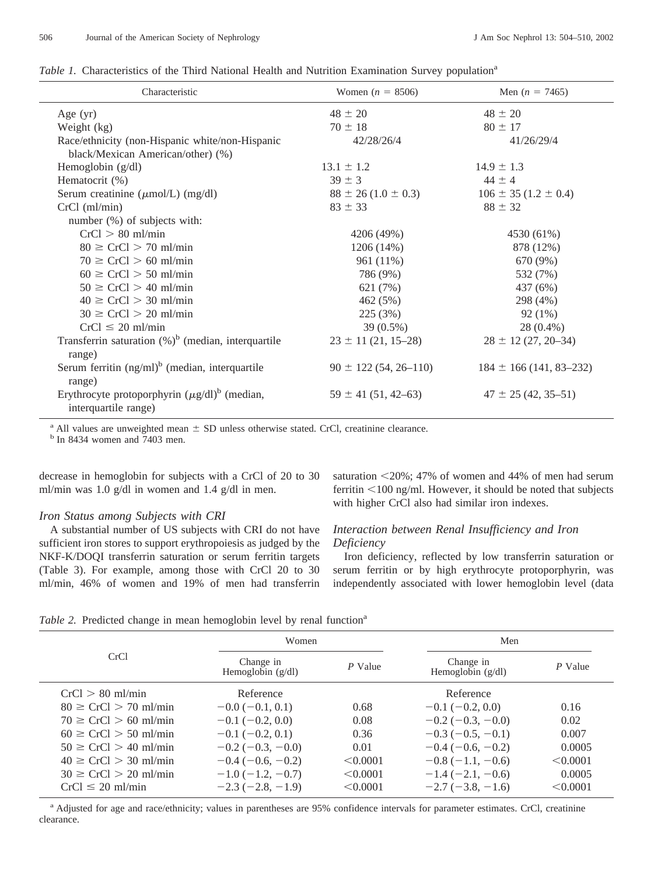| Table 1. Characteristics of the Third National Health and Nutrition Examination Survey population <sup>a</sup> |  |  |  |  |  |
|----------------------------------------------------------------------------------------------------------------|--|--|--|--|--|
|                                                                                                                |  |  |  |  |  |

| Characteristic                                                             | Women $(n = 8506)$         | Men $(n = 7465)$            |
|----------------------------------------------------------------------------|----------------------------|-----------------------------|
| Age $(yr)$                                                                 | $48 \pm 20$                | $48 \pm 20$                 |
| Weight (kg)                                                                | $70 \pm 18$                | $80 \pm 17$                 |
| Race/ethnicity (non-Hispanic white/non-Hispanic                            | 42/28/26/4                 | 41/26/29/4                  |
| black/Mexican American/other) (%)                                          |                            |                             |
| Hemoglobin $(g/dl)$                                                        | $13.1 \pm 1.2$             | $14.9 \pm 1.3$              |
| Hematocrit (%)                                                             | $39 \pm 3$                 | $44 \pm 4$                  |
| Serum creatinine ( $\mu$ mol/L) (mg/dl)                                    | $88 \pm 26 (1.0 \pm 0.3)$  | $106 \pm 35 (1.2 \pm 0.4)$  |
| $CrCl$ (ml/min)                                                            | $83 \pm 33$                | $88 \pm 32$                 |
| number (%) of subjects with:                                               |                            |                             |
| $CrCl > 80$ ml/min                                                         | 4206 (49%)                 | 4530 (61%)                  |
| $80 \geq CrCl > 70$ ml/min                                                 | 1206 (14%)                 | 878 (12%)                   |
| $70 \geq CrCl > 60$ ml/min                                                 | 961 (11%)                  | 670 (9%)                    |
| $60 \geq CrCl > 50$ ml/min                                                 | 786 (9%)                   | 532 (7%)                    |
| $50 \geq CrCl > 40$ ml/min                                                 | 621 (7%)                   | 437 (6%)                    |
| $40 \geq CrCl > 30$ ml/min                                                 | 462 (5%)                   | 298 (4%)                    |
| $30 \geq CrCl > 20$ ml/min                                                 | 225 (3%)                   | $92(1\%)$                   |
| $CrCl \leq 20$ ml/min                                                      | 39 (0.5%)                  | 28 (0.4%)                   |
| Transferrin saturation $(\%)^b$ (median, interquartile                     | $23 \pm 11$ (21, 15–28)    | $28 \pm 12$ (27, 20–34)     |
| range)                                                                     |                            |                             |
| Serum ferritin $(ng/ml)^b$ (median, interquartile<br>range)                | $90 \pm 122(54, 26 - 110)$ | $184 \pm 166$ (141, 83–232) |
| Erythrocyte protoporphyrin $(\mu g/dl)^b$ (median,<br>interquartile range) | $59 \pm 41 (51, 42 - 63)$  | $47 \pm 25 (42, 35 - 51)$   |

<sup>a</sup> All values are unweighted mean  $\pm$  SD unless otherwise stated. CrCl, creatinine clearance. <sup>b</sup> In 8434 women and 7403 men.

decrease in hemoglobin for subjects with a CrCl of 20 to 30 ml/min was 1.0 g/dl in women and 1.4 g/dl in men.

#### *Iron Status among Subjects with CRI*

A substantial number of US subjects with CRI do not have sufficient iron stores to support erythropoiesis as judged by the NKF-K/DOQI transferrin saturation or serum ferritin targets (Table 3). For example, among those with CrCl 20 to 30 ml/min, 46% of women and 19% of men had transferrin

saturation <20%; 47% of women and 44% of men had serum ferritin <100 ng/ml. However, it should be noted that subjects with higher CrCl also had similar iron indexes.

## *Interaction between Renal Insufficiency and Iron Deficiency*

Iron deficiency, reflected by low transferrin saturation or serum ferritin or by high erythrocyte protoporphyrin, was independently associated with lower hemoglobin level (data

|  |  | Table 2. Predicted change in mean hemoglobin level by renal function <sup>a</sup> |  |  |
|--|--|-----------------------------------------------------------------------------------|--|--|

|                             | Women                            |          | Men                            |          |  |
|-----------------------------|----------------------------------|----------|--------------------------------|----------|--|
| CrCl                        | Change in<br>Hemoglobin $(g/dl)$ | P Value  | Change in<br>Hemoglobin (g/dl) | P Value  |  |
| $CrCl > 80$ ml/min          | Reference                        |          | Reference                      |          |  |
| $80 \geq C rCl > 70$ ml/min | $-0.0$ ( $-0.1, 0.1$ )           | 0.68     | $-0.1$ ( $-0.2$ , 0.0)         | 0.16     |  |
| $70 \geq C rCl > 60$ ml/min | $-0.1$ ( $-0.2$ , 0.0)           | 0.08     | $-0.2$ ( $-0.3$ , $-0.0$ )     | 0.02     |  |
| $60 \geq C rCl > 50$ ml/min | $-0.1(-0.2, 0.1)$                | 0.36     | $-0.3(-0.5, -0.1)$             | 0.007    |  |
| $50 \geq C rCl > 40$ ml/min | $-0.2$ ( $-0.3, -0.0$ )          | 0.01     | $-0.4(-0.6, -0.2)$             | 0.0005   |  |
| $40 \geq C rCl > 30$ ml/min | $-0.4(-0.6, -0.2)$               | < 0.0001 | $-0.8(-1.1, -0.6)$             | < 0.0001 |  |
| $30 \geq C rCl > 20$ ml/min | $-1.0(-1.2, -0.7)$               | < 0.0001 | $-1.4(-2.1, -0.6)$             | 0.0005   |  |
| $CrCl \leq 20$ ml/min       | $-2.3(-2.8,-1.9)$                | < 0.0001 | $-2.7(-3.8,-1.6)$              | < 0.0001 |  |

<sup>a</sup> Adjusted for age and race/ethnicity; values in parentheses are 95% confidence intervals for parameter estimates. CrCl, creatinine clearance.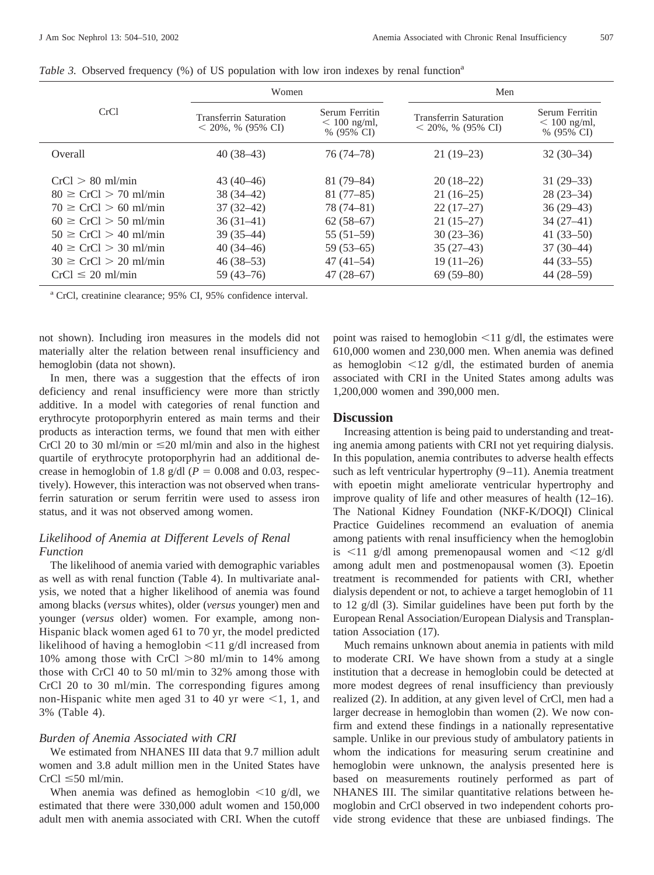|                                                                                                                                                                                                                                      | Women                                                                                                                |                                                                                                                        | Men                                                                                                                  |                                                                                                                     |  |  |
|--------------------------------------------------------------------------------------------------------------------------------------------------------------------------------------------------------------------------------------|----------------------------------------------------------------------------------------------------------------------|------------------------------------------------------------------------------------------------------------------------|----------------------------------------------------------------------------------------------------------------------|---------------------------------------------------------------------------------------------------------------------|--|--|
| CrCl                                                                                                                                                                                                                                 | Transferrin Saturation<br>$<$ 20%, % (95% CI)                                                                        | Serum Ferritin<br>$< 100$ ng/ml,<br>% (95% CI)                                                                         | <b>Transferrin Saturation</b><br>$<$ 20%, % (95% CI)                                                                 | Serum Ferritin<br>$< 100$ ng/ml,<br>% $(95\% \text{ CI})$                                                           |  |  |
| Overall                                                                                                                                                                                                                              | $40(38-43)$                                                                                                          | $76(74 - 78)$                                                                                                          | $21(19-23)$                                                                                                          | $32(30-34)$                                                                                                         |  |  |
| $CrCl > 80$ ml/min<br>$80 \geq C rCl > 70$ ml/min<br>$70 \geq C rCl > 60$ ml/min<br>$60 \geq CrCl > 50$ ml/min<br>$50 \geq C rCl > 40$ ml/min<br>$40 \geq C rCl > 30$ ml/min<br>$30 \geq C rCl > 20$ ml/min<br>$CrCl \leq 20$ ml/min | $43(40-46)$<br>$38(34-42)$<br>$37(32-42)$<br>$36(31-41)$<br>$39(35-44)$<br>$40(34-46)$<br>$46(38-53)$<br>$59(43-76)$ | $81(79-84)$<br>$81(77-85)$<br>$78(74 - 81)$<br>$62(58-67)$<br>$55(51-59)$<br>$59(53-65)$<br>$47(41-54)$<br>$47(28-67)$ | $20(18-22)$<br>$21(16-25)$<br>$22(17-27)$<br>$21(15-27)$<br>$30(23-36)$<br>$35(27-43)$<br>$19(11-26)$<br>$69(59-80)$ | $31(29-33)$<br>$28(23-34)$<br>$36(29-43)$<br>$34(27-41)$<br>$41(33-50)$<br>$37(30-44)$<br>$44(33-55)$<br>44 (28–59) |  |  |

*Table 3.* Observed frequency  $(\%)$  of US population with low iron indexes by renal function<sup>a</sup>

<sup>a</sup> CrCl, creatinine clearance; 95% CI, 95% confidence interval.

not shown). Including iron measures in the models did not materially alter the relation between renal insufficiency and hemoglobin (data not shown).

In men, there was a suggestion that the effects of iron deficiency and renal insufficiency were more than strictly additive. In a model with categories of renal function and erythrocyte protoporphyrin entered as main terms and their products as interaction terms, we found that men with either CrCl 20 to 30 ml/min or  $\leq$  20 ml/min and also in the highest quartile of erythrocyte protoporphyrin had an additional decrease in hemoglobin of 1.8 g/dl ( $P = 0.008$  and 0.03, respectively). However, this interaction was not observed when transferrin saturation or serum ferritin were used to assess iron status, and it was not observed among women.

## *Likelihood of Anemia at Different Levels of Renal Function*

The likelihood of anemia varied with demographic variables as well as with renal function (Table 4). In multivariate analysis, we noted that a higher likelihood of anemia was found among blacks (*versus* whites), older (*versus* younger) men and younger (*versus* older) women. For example, among non-Hispanic black women aged 61 to 70 yr, the model predicted likelihood of having a hemoglobin  $\leq$ 11 g/dl increased from 10% among those with CrCl  $> 80$  ml/min to 14% among those with CrCl 40 to 50 ml/min to 32% among those with CrCl 20 to 30 ml/min. The corresponding figures among non-Hispanic white men aged 31 to 40 yr were  $\leq 1$ , 1, and 3% (Table 4).

#### *Burden of Anemia Associated with CRI*

We estimated from NHANES III data that 9.7 million adult women and 3.8 adult million men in the United States have  $CrCl \leq 50$  ml/min.

When anemia was defined as hemoglobin  $\leq 10$  g/dl, we estimated that there were 330,000 adult women and 150,000 adult men with anemia associated with CRI. When the cutoff

point was raised to hemoglobin  $\leq 11$  g/dl, the estimates were 610,000 women and 230,000 men. When anemia was defined as hemoglobin  $\leq 12$  g/dl, the estimated burden of anemia associated with CRI in the United States among adults was 1,200,000 women and 390,000 men.

#### **Discussion**

Increasing attention is being paid to understanding and treating anemia among patients with CRI not yet requiring dialysis. In this population, anemia contributes to adverse health effects such as left ventricular hypertrophy (9–11). Anemia treatment with epoetin might ameliorate ventricular hypertrophy and improve quality of life and other measures of health (12–16). The National Kidney Foundation (NKF-K/DOQI) Clinical Practice Guidelines recommend an evaluation of anemia among patients with renal insufficiency when the hemoglobin is  $\leq$ 11 g/dl among premenopausal women and  $\leq$ 12 g/dl among adult men and postmenopausal women (3). Epoetin treatment is recommended for patients with CRI, whether dialysis dependent or not, to achieve a target hemoglobin of 11 to 12 g/dl (3). Similar guidelines have been put forth by the European Renal Association/European Dialysis and Transplantation Association (17).

Much remains unknown about anemia in patients with mild to moderate CRI. We have shown from a study at a single institution that a decrease in hemoglobin could be detected at more modest degrees of renal insufficiency than previously realized (2). In addition, at any given level of CrCl, men had a larger decrease in hemoglobin than women (2). We now confirm and extend these findings in a nationally representative sample. Unlike in our previous study of ambulatory patients in whom the indications for measuring serum creatinine and hemoglobin were unknown, the analysis presented here is based on measurements routinely performed as part of NHANES III. The similar quantitative relations between hemoglobin and CrCl observed in two independent cohorts provide strong evidence that these are unbiased findings. The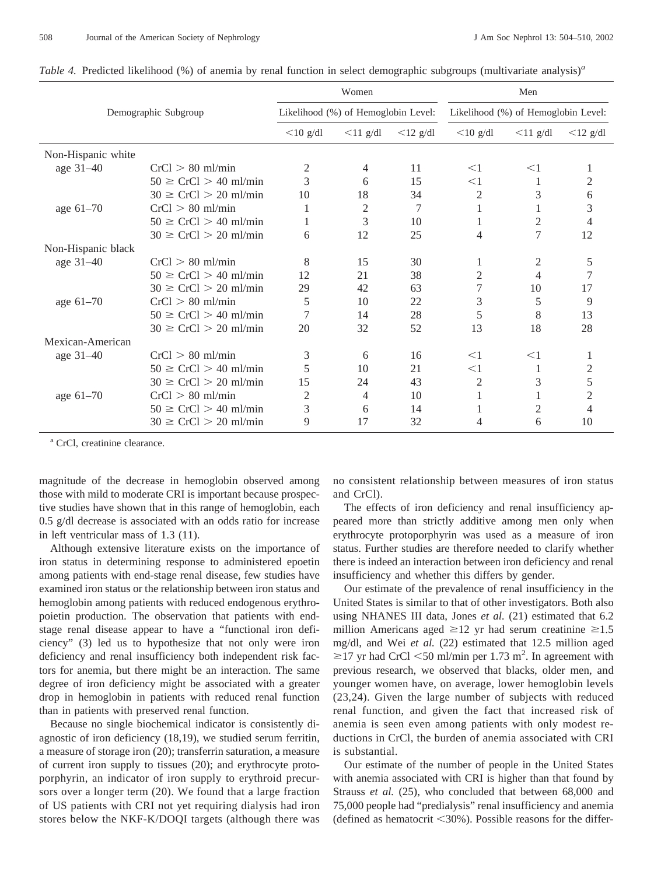| Demographic Subgroup |                             |                                     | Women       |             | Men<br>Likelihood (%) of Hemoglobin Level: |                |                |  |
|----------------------|-----------------------------|-------------------------------------|-------------|-------------|--------------------------------------------|----------------|----------------|--|
|                      |                             | Likelihood (%) of Hemoglobin Level: |             |             |                                            |                |                |  |
|                      | $<$ 10 g/dl                 | $\leq$ 11 g/dl                      | $<$ 12 g/dl | $<$ 10 g/dl | $<$ 11 g/dl                                | $<$ 12 g/dl    |                |  |
| Non-Hispanic white   |                             |                                     |             |             |                                            |                |                |  |
| age $31-40$          | $CrCl > 80$ ml/min          | $\overline{2}$                      | 4           | 11          | $<$ 1                                      | $<$ 1          |                |  |
|                      | $50 \geq C rCl > 40$ ml/min | 3                                   | 6           | 15          | $<$ 1                                      |                | 2              |  |
|                      | $30 \geq CrCl > 20$ ml/min  | 10                                  | 18          | 34          | $\overline{2}$                             | 3              | 6              |  |
| age $61-70$          | $CrCl > 80$ ml/min          | 1                                   | 2           | 7           | 1                                          | 1              | $\mathfrak{Z}$ |  |
|                      | $50 \geq CrCl > 40$ ml/min  | 1                                   | 3           | 10          | 1                                          | 2              | 4              |  |
|                      | $30 \geq CrCl > 20$ ml/min  | 6                                   | 12          | 25          | 4                                          | $\overline{7}$ | 12             |  |
| Non-Hispanic black   |                             |                                     |             |             |                                            |                |                |  |
| age 31–40            | $CrCl > 80$ ml/min          | 8                                   | 15          | 30          | 1                                          | 2              | 5              |  |
|                      | $50 \geq CrCl > 40$ ml/min  | 12                                  | 21          | 38          | $\overline{2}$                             | 4              | 7              |  |
|                      | $30 \geq CrCl > 20$ ml/min  | 29                                  | 42          | 63          | 7                                          | 10             | 17             |  |
| age $61-70$          | $CrCl > 80$ ml/min          | 5                                   | 10          | 22          | 3                                          | 5              | 9              |  |
|                      | $50 \geq CrCl > 40$ ml/min  | 7                                   | 14          | 28          | 5                                          | 8              | 13             |  |
|                      | $30 \geq CrCl > 20$ ml/min  | 20                                  | 32          | 52          | 13                                         | 18             | 28             |  |
| Mexican-American     |                             |                                     |             |             |                                            |                |                |  |
| age 31–40            | $CrCl > 80$ ml/min          | 3                                   | 6           | 16          | $<$ 1                                      | $<$ 1          |                |  |
|                      | $50 \geq CrCl > 40$ ml/min  | 5                                   | 10          | 21          | $<$ 1                                      |                | 2              |  |
|                      | $30 \geq CrCl > 20$ ml/min  | 15                                  | 24          | 43          | 2                                          | 3              | 5              |  |
| age $61-70$          | $CrCl > 80$ ml/min          | 2                                   | 4           | 10          | 1                                          |                | $\overline{2}$ |  |
|                      | $50 \geq CrCl > 40$ ml/min  | 3                                   | 6           | 14          |                                            | $\overline{2}$ | 4              |  |
|                      | $30 \geq CrCl > 20$ ml/min  | 9                                   | 17          | 32          | 4                                          | 6              | 10             |  |

*Table 4.* Predicted likelihood (%) of anemia by renal function in select demographic subgroups (multivariate analysis)<sup>*a*</sup>

<sup>a</sup> CrCl, creatinine clearance.

magnitude of the decrease in hemoglobin observed among those with mild to moderate CRI is important because prospective studies have shown that in this range of hemoglobin, each 0.5 g/dl decrease is associated with an odds ratio for increase in left ventricular mass of 1.3 (11).

Although extensive literature exists on the importance of iron status in determining response to administered epoetin among patients with end-stage renal disease, few studies have examined iron status or the relationship between iron status and hemoglobin among patients with reduced endogenous erythropoietin production. The observation that patients with endstage renal disease appear to have a "functional iron deficiency" (3) led us to hypothesize that not only were iron deficiency and renal insufficiency both independent risk factors for anemia, but there might be an interaction. The same degree of iron deficiency might be associated with a greater drop in hemoglobin in patients with reduced renal function than in patients with preserved renal function.

Because no single biochemical indicator is consistently diagnostic of iron deficiency (18,19), we studied serum ferritin, a measure of storage iron (20); transferrin saturation, a measure of current iron supply to tissues (20); and erythrocyte protoporphyrin, an indicator of iron supply to erythroid precursors over a longer term (20). We found that a large fraction of US patients with CRI not yet requiring dialysis had iron stores below the NKF-K/DOQI targets (although there was no consistent relationship between measures of iron status and CrCl).

The effects of iron deficiency and renal insufficiency appeared more than strictly additive among men only when erythrocyte protoporphyrin was used as a measure of iron status. Further studies are therefore needed to clarify whether there is indeed an interaction between iron deficiency and renal insufficiency and whether this differs by gender.

Our estimate of the prevalence of renal insufficiency in the United States is similar to that of other investigators. Both also using NHANES III data, Jones *et al.* (21) estimated that 6.2 million Americans aged  $\geq 12$  yr had serum creatinine  $\geq 1.5$ mg/dl, and Wei *et al.* (22) estimated that 12.5 million aged  $\geq$ 17 yr had CrCl <50 ml/min per 1.73 m<sup>2</sup>. In agreement with previous research, we observed that blacks, older men, and younger women have, on average, lower hemoglobin levels (23,24). Given the large number of subjects with reduced renal function, and given the fact that increased risk of anemia is seen even among patients with only modest reductions in CrCl, the burden of anemia associated with CRI is substantial.

Our estimate of the number of people in the United States with anemia associated with CRI is higher than that found by Strauss *et al.* (25), who concluded that between 68,000 and 75,000 people had "predialysis" renal insufficiency and anemia (defined as hematocrit  $\leq 30\%$ ). Possible reasons for the differ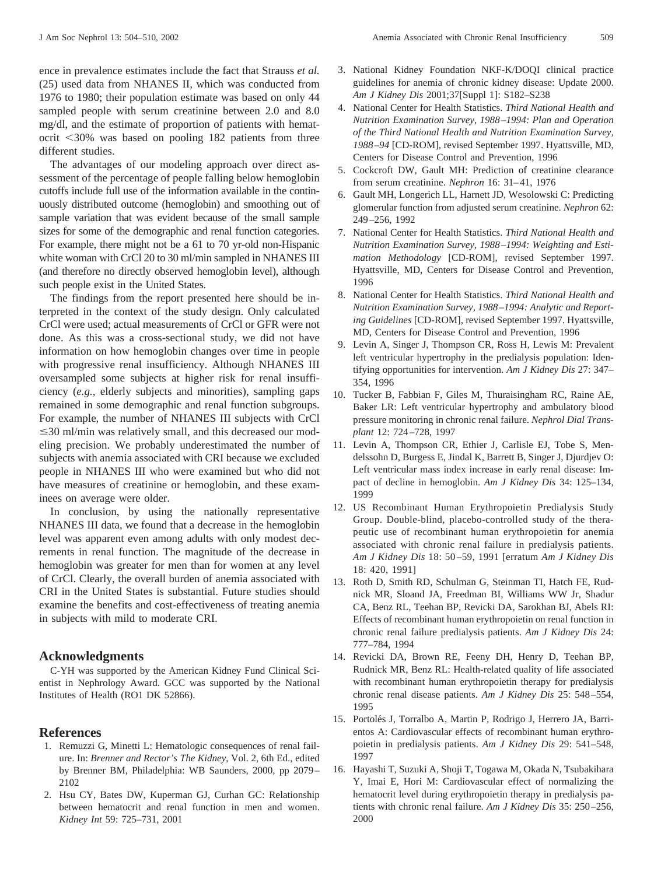ence in prevalence estimates include the fact that Strauss *et al.* (25) used data from NHANES II, which was conducted from 1976 to 1980; their population estimate was based on only 44 sampled people with serum creatinine between 2.0 and 8.0 mg/dl, and the estimate of proportion of patients with hematocrit <30% was based on pooling 182 patients from three different studies.

The advantages of our modeling approach over direct assessment of the percentage of people falling below hemoglobin cutoffs include full use of the information available in the continuously distributed outcome (hemoglobin) and smoothing out of sample variation that was evident because of the small sample sizes for some of the demographic and renal function categories. For example, there might not be a 61 to 70 yr-old non-Hispanic white woman with CrCl 20 to 30 ml/min sampled in NHANES III (and therefore no directly observed hemoglobin level), although such people exist in the United States.

The findings from the report presented here should be interpreted in the context of the study design. Only calculated CrCl were used; actual measurements of CrCl or GFR were not done. As this was a cross-sectional study, we did not have information on how hemoglobin changes over time in people with progressive renal insufficiency. Although NHANES III oversampled some subjects at higher risk for renal insufficiency (*e.g.,* elderly subjects and minorities), sampling gaps remained in some demographic and renal function subgroups. For example, the number of NHANES III subjects with CrCl  $\leq$ 30 ml/min was relatively small, and this decreased our modeling precision. We probably underestimated the number of subjects with anemia associated with CRI because we excluded people in NHANES III who were examined but who did not have measures of creatinine or hemoglobin, and these examinees on average were older.

In conclusion, by using the nationally representative NHANES III data, we found that a decrease in the hemoglobin level was apparent even among adults with only modest decrements in renal function. The magnitude of the decrease in hemoglobin was greater for men than for women at any level of CrCl. Clearly, the overall burden of anemia associated with CRI in the United States is substantial. Future studies should examine the benefits and cost-effectiveness of treating anemia in subjects with mild to moderate CRI.

## **Acknowledgments**

C-YH was supported by the American Kidney Fund Clinical Scientist in Nephrology Award. GCC was supported by the National Institutes of Health (RO1 DK 52866).

#### **References**

- 1. Remuzzi G, Minetti L: Hematologic consequences of renal failure. In: *Brenner and Rector's The Kidney*, Vol. 2, 6th Ed., edited by Brenner BM, Philadelphia: WB Saunders, 2000, pp 2079– 2102
- 2. Hsu CY, Bates DW, Kuperman GJ, Curhan GC: Relationship between hematocrit and renal function in men and women. *Kidney Int* 59: 725–731, 2001
- 3. National Kidney Foundation NKF-K/DOQI clinical practice guidelines for anemia of chronic kidney disease: Update 2000. *Am J Kidney Dis* 2001;37[Suppl 1]: S182–S238
- 4. National Center for Health Statistics. *Third National Health and Nutrition Examination Survey, 1988–1994: Plan and Operation of the Third National Health and Nutrition Examination Survey, 1988–94* [CD-ROM], revised September 1997. Hyattsville, MD, Centers for Disease Control and Prevention, 1996
- 5. Cockcroft DW, Gault MH: Prediction of creatinine clearance from serum creatinine. *Nephron* 16: 31–41, 1976
- 6. Gault MH, Longerich LL, Harnett JD, Wesolowski C: Predicting glomerular function from adjusted serum creatinine. *Nephron* 62: 249–256, 1992
- 7. National Center for Health Statistics. *Third National Health and Nutrition Examination Survey, 1988–1994: Weighting and Estimation Methodology* [CD-ROM], revised September 1997. Hyattsville, MD, Centers for Disease Control and Prevention, 1996
- 8. National Center for Health Statistics. *Third National Health and Nutrition Examination Survey, 1988–1994: Analytic and Reporting Guidelines* [CD-ROM], revised September 1997. Hyattsville, MD, Centers for Disease Control and Prevention, 1996
- 9. Levin A, Singer J, Thompson CR, Ross H, Lewis M: Prevalent left ventricular hypertrophy in the predialysis population: Identifying opportunities for intervention. *Am J Kidney Dis* 27: 347– 354, 1996
- 10. Tucker B, Fabbian F, Giles M, Thuraisingham RC, Raine AE, Baker LR: Left ventricular hypertrophy and ambulatory blood pressure monitoring in chronic renal failure. *Nephrol Dial Transplant* 12: 724–728, 1997
- 11. Levin A, Thompson CR, Ethier J, Carlisle EJ, Tobe S, Mendelssohn D, Burgess E, Jindal K, Barrett B, Singer J, Djurdjev O: Left ventricular mass index increase in early renal disease: Impact of decline in hemoglobin. *Am J Kidney Dis* 34: 125–134, 1999
- 12. US Recombinant Human Erythropoietin Predialysis Study Group. Double-blind, placebo-controlled study of the therapeutic use of recombinant human erythropoietin for anemia associated with chronic renal failure in predialysis patients. *Am J Kidney Dis* 18: 50 –59, 1991 [erratum *Am J Kidney Dis* 18: 420, 1991]
- 13. Roth D, Smith RD, Schulman G, Steinman TI, Hatch FE, Rudnick MR, Sloand JA, Freedman BI, Williams WW Jr, Shadur CA, Benz RL, Teehan BP, Revicki DA, Sarokhan BJ, Abels RI: Effects of recombinant human erythropoietin on renal function in chronic renal failure predialysis patients. *Am J Kidney Dis* 24: 777–784, 1994
- 14. Revicki DA, Brown RE, Feeny DH, Henry D, Teehan BP, Rudnick MR, Benz RL: Health-related quality of life associated with recombinant human erythropoietin therapy for predialysis chronic renal disease patients. *Am J Kidney Dis* 25: 548–554, 1995
- 15. Portolés J, Torralbo A, Martin P, Rodrigo J, Herrero JA, Barrientos A: Cardiovascular effects of recombinant human erythropoietin in predialysis patients. *Am J Kidney Dis* 29: 541–548, 1997
- 16. Hayashi T, Suzuki A, Shoji T, Togawa M, Okada N, Tsubakihara Y, Imai E, Hori M: Cardiovascular effect of normalizing the hematocrit level during erythropoietin therapy in predialysis patients with chronic renal failure. *Am J Kidney Dis* 35: 250–256, 2000